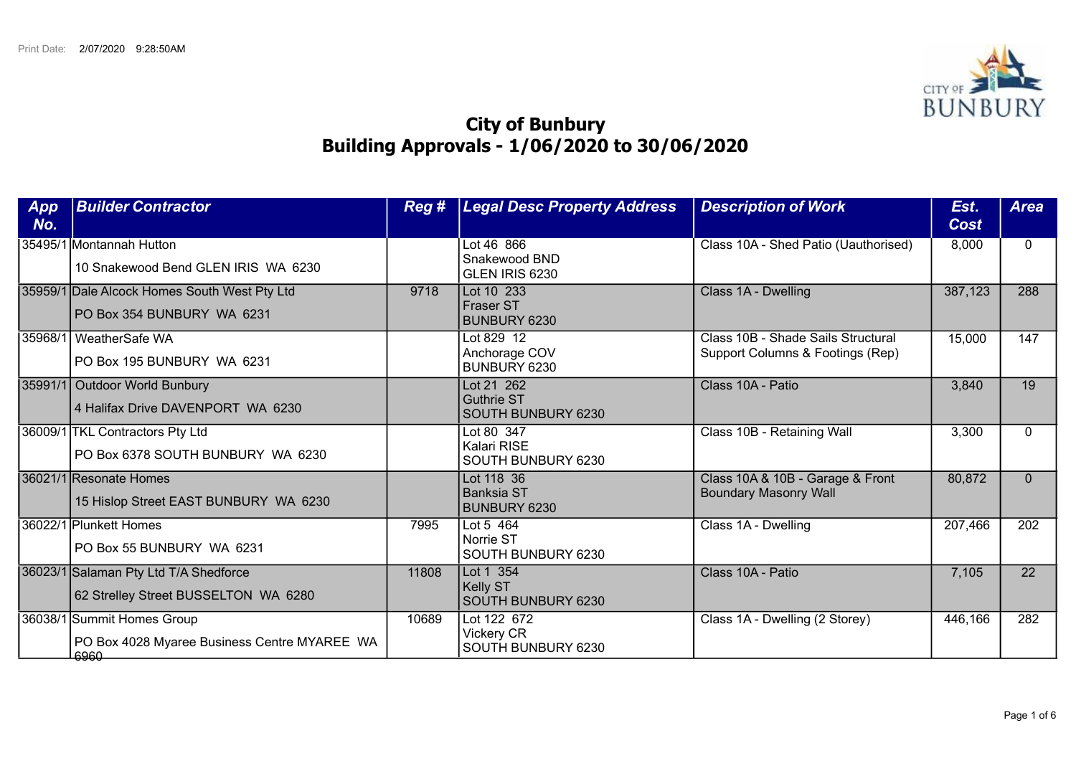

## City of Bunbury Building Approvals - 1/06/2020 to 30/06/2020

| App<br>No. | <b>Builder Contractor</b>                                                          | Reg # | <b>Legal Desc Property Address</b>                        | <b>Description of Work</b>                                             | Est.<br><b>Cost</b> | <b>Area</b>      |
|------------|------------------------------------------------------------------------------------|-------|-----------------------------------------------------------|------------------------------------------------------------------------|---------------------|------------------|
|            | 35495/1 Montannah Hutton<br>10 Snakewood Bend GLEN IRIS WA 6230                    |       | Lot 46 866<br>Snakewood BND<br>GLEN IRIS 6230             | Class 10A - Shed Patio (Uauthorised)                                   | 8,000               | $\Omega$         |
|            | 35959/1 Dale Alcock Homes South West Pty Ltd<br>PO Box 354 BUNBURY WA 6231         | 9718  | Lot 10 233<br><b>Fraser ST</b><br>BUNBURY 6230            | Class 1A - Dwelling                                                    | 387,123             | 288              |
| 35968/1    | WeatherSafe WA<br>PO Box 195 BUNBURY WA 6231                                       |       | Lot 829 12<br>Anchorage COV<br>BUNBURY 6230               | Class 10B - Shade Sails Structural<br>Support Columns & Footings (Rep) | 15,000              | $\overline{147}$ |
|            | 35991/1 Outdoor World Bunbury<br>4 Halifax Drive DAVENPORT WA 6230                 |       | Lot 21 262<br>Guthrie ST<br><b>SOUTH BUNBURY 6230</b>     | Class 10A - Patio                                                      | 3,840               | $\overline{19}$  |
|            | 36009/1 TKL Contractors Pty Ltd<br>PO Box 6378 SOUTH BUNBURY WA 6230               |       | Lot 80 347<br>Kalari RISE<br>SOUTH BUNBURY 6230           | Class 10B - Retaining Wall                                             | 3,300               | $\Omega$         |
|            | 36021/1 Resonate Homes<br>15 Hislop Street EAST BUNBURY WA 6230                    |       | Lot 118 36<br><b>Banksia ST</b><br>BUNBURY 6230           | Class 10A & 10B - Garage & Front<br><b>Boundary Masonry Wall</b>       | 80,872              | $\Omega$         |
|            | 36022/1 Plunkett Homes<br>PO Box 55 BUNBURY WA 6231                                | 7995  | Lot 5 464<br>Norrie ST<br>SOUTH BUNBURY 6230              | Class 1A - Dwelling                                                    | 207,466             | $\overline{202}$ |
|            | 36023/1 Salaman Pty Ltd T/A Shedforce<br>62 Strelley Street BUSSELTON WA 6280      | 11808 | Lot 1 354<br><b>Kelly ST</b><br><b>SOUTH BUNBURY 6230</b> | Class 10A - Patio                                                      | 7,105               | 22               |
|            | 36038/1 Summit Homes Group<br>PO Box 4028 Myaree Business Centre MYAREE WA<br>6960 | 10689 | Lot 122 672<br><b>Vickery CR</b><br>SOUTH BUNBURY 6230    | Class 1A - Dwelling (2 Storey)                                         | 446,166             | 282              |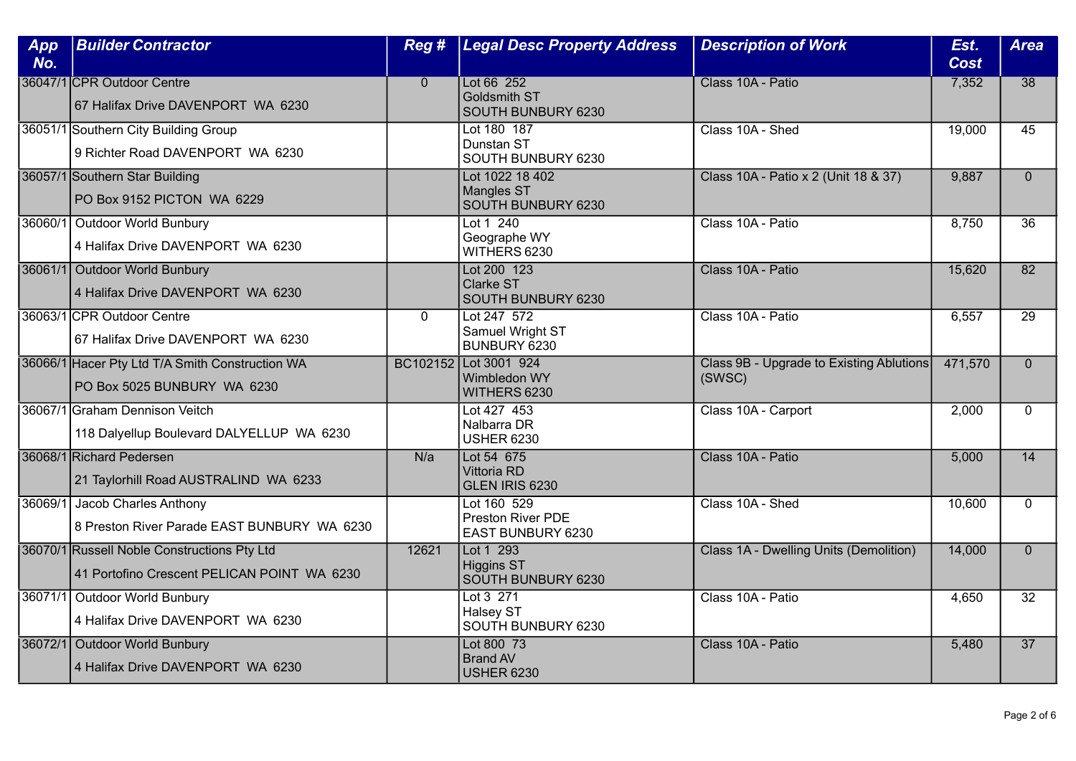| App<br>No. | <b>Builder Contractor</b>                                                                  | Reg #          | <b>Legal Desc Property Address</b>                           | <b>Description of Work</b>                         | Est.<br><b>Cost</b> | <b>Area</b>     |
|------------|--------------------------------------------------------------------------------------------|----------------|--------------------------------------------------------------|----------------------------------------------------|---------------------|-----------------|
|            | 36047/1 CPR Outdoor Centre<br>67 Halifax Drive DAVENPORT WA 6230                           | $\overline{0}$ | Lot 66 252<br><b>Goldsmith ST</b><br>SOUTH BUNBURY 6230      | Class 10A - Patio                                  | 7,352               | 38              |
|            | 36051/1 Southern City Building Group<br>9 Richter Road DAVENPORT WA 6230                   |                | Lot 180 187<br>Dunstan ST<br>SOUTH BUNBURY 6230              | Class 10A - Shed                                   | 19,000              | 45              |
|            | 36057/1 Southern Star Building<br>PO Box 9152 PICTON WA 6229                               |                | Lot 1022 18 402<br><b>Mangles ST</b><br>SOUTH BUNBURY 6230   | Class 10A - Patio x 2 (Unit 18 & 37)               | 9,887               | $\Omega$        |
|            | 36060/1 Outdoor World Bunbury<br>4 Halifax Drive DAVENPORT WA 6230                         |                | Lot $1, 240$<br>Geographe WY<br>WITHERS 6230                 | Class 10A - Patio                                  | 8,750               | $\overline{36}$ |
|            | 36061/1 Outdoor World Bunbury<br>4 Halifax Drive DAVENPORT WA 6230                         |                | Lot 200 123<br>Clarke ST<br>SOUTH BUNBURY 6230               | Class 10A - Patio                                  | 15,620              | 82              |
|            | 36063/1 CPR Outdoor Centre<br>67 Halifax Drive DAVENPORT WA 6230                           | $\mathbf 0$    | Lot 247 572<br>Samuel Wright ST<br>BUNBURY 6230              | Class 10A - Patio                                  | 6,557               | $\overline{29}$ |
|            | 36066/1 Hacer Pty Ltd T/A Smith Construction WA<br>PO Box 5025 BUNBURY WA 6230             |                | BC102152   Lot 3001 924<br>Wimbledon WY<br>WITHERS 6230      | Class 9B - Upgrade to Existing Ablutions<br>(SWSC) | 471,570             | $\Omega$        |
|            | 36067/1 Graham Dennison Veitch<br>118 Dalyellup Boulevard DALYELLUP WA 6230                |                | Lot 427 453<br>Nalbarra DR<br><b>USHER 6230</b>              | Class 10A - Carport                                | 2,000               | $\Omega$        |
|            | 36068/1 Richard Pedersen<br>21 Taylorhill Road AUSTRALIND WA 6233                          | N/a            | Lot 54 675<br>Vittoria RD<br>GLEN IRIS 6230                  | Class 10A - Patio                                  | 5,000               | $\overline{14}$ |
|            | 36069/1 Jacob Charles Anthony<br>8 Preston River Parade EAST BUNBURY WA 6230               |                | Lot 160 529<br><b>Preston River PDE</b><br>EAST BUNBURY 6230 | Class 10A - Shed                                   | 10,600              | $\Omega$        |
|            | 36070/1 Russell Noble Constructions Pty Ltd<br>41 Portofino Crescent PELICAN POINT WA 6230 | 12621          | Lot 1 293<br><b>Higgins ST</b><br>SOUTH BUNBURY 6230         | Class 1A - Dwelling Units (Demolition)             | 14,000              | $\overline{0}$  |
|            | 36071/1 Outdoor World Bunbury<br>4 Halifax Drive DAVENPORT WA 6230                         |                | Lot 3 271<br>Halsey ST<br>SOUTH BUNBURY 6230                 | Class 10A - Patio                                  | 4,650               | $\overline{32}$ |
|            | 36072/1 Outdoor World Bunbury<br>4 Halifax Drive DAVENPORT WA 6230                         |                | Lot 800 73<br><b>Brand AV</b><br><b>USHER 6230</b>           | Class 10A - Patio                                  | 5,480               | $\overline{37}$ |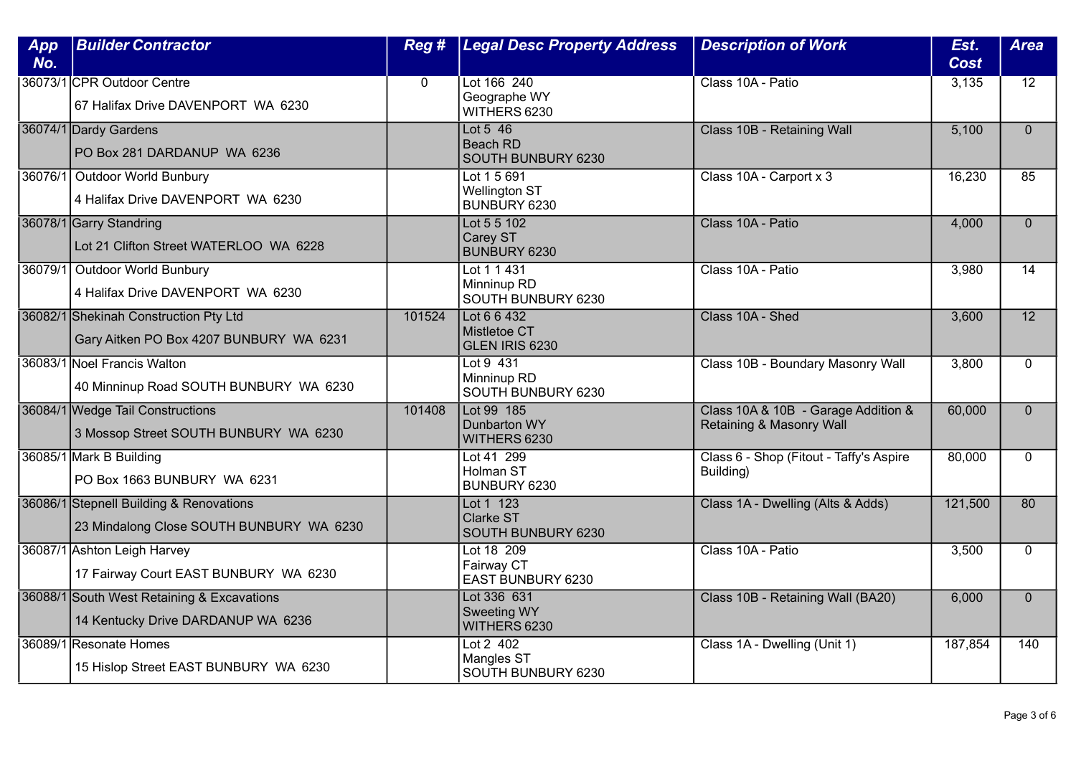| App<br>No. | <b>Builder Contractor</b>                                                           | Reg #       | <b>Legal Desc Property Address</b>                   | <b>Description of Work</b>                                      | Est.<br><b>Cost</b> | <b>Area</b>     |
|------------|-------------------------------------------------------------------------------------|-------------|------------------------------------------------------|-----------------------------------------------------------------|---------------------|-----------------|
|            | 36073/1 CPR Outdoor Centre<br>67 Halifax Drive DAVENPORT WA 6230                    | $\mathbf 0$ | Lot 166 240<br>Geographe WY<br>WITHERS 6230          | Class 10A - Patio                                               | 3,135               | $\overline{12}$ |
|            | 36074/1 Dardy Gardens<br>PO Box 281 DARDANUP WA 6236                                |             | Lot $5\,46$<br><b>Beach RD</b><br>SOUTH BUNBURY 6230 | Class 10B - Retaining Wall                                      | 5,100               | $\Omega$        |
|            | 36076/1 Outdoor World Bunbury<br>4 Halifax Drive DAVENPORT WA 6230                  |             | Lot 1 5 691<br><b>Wellington ST</b><br>BUNBURY 6230  | Class 10A - Carport x 3                                         | 16,230              | 85              |
|            | 36078/1 Garry Standring<br>Lot 21 Clifton Street WATERLOO WA 6228                   |             | Lot 5 5 102<br>Carey ST<br>BUNBURY 6230              | Class 10A - Patio                                               | 4,000               | $\Omega$        |
|            | 36079/1 Outdoor World Bunbury<br>4 Halifax Drive DAVENPORT WA 6230                  |             | Lot 1 1 431<br>Minninup RD<br>SOUTH BUNBURY 6230     | Class 10A - Patio                                               | 3,980               | 14              |
|            | 36082/1 Shekinah Construction Pty Ltd<br>Gary Aitken PO Box 4207 BUNBURY WA 6231    | 101524      | Lot 6 6 432<br>Mistletoe CT<br>GLEN IRIS 6230        | Class 10A - Shed                                                | 3,600               | $\overline{12}$ |
|            | 36083/1 Noel Francis Walton<br>40 Minninup Road SOUTH BUNBURY WA 6230               |             | Lot 9 431<br>Minninup RD<br>SOUTH BUNBURY 6230       | Class 10B - Boundary Masonry Wall                               | 3,800               | $\mathbf{0}$    |
|            | 36084/1 Wedge Tail Constructions<br>3 Mossop Street SOUTH BUNBURY WA 6230           | 101408      | Lot 99 185<br>Dunbarton WY<br>WITHERS 6230           | Class 10A & 10B - Garage Addition &<br>Retaining & Masonry Wall | 60,000              | $\mathbf{0}$    |
|            | 36085/1 Mark B Building<br>PO Box 1663 BUNBURY WA 6231                              |             | Lot 41 299<br><b>Holman ST</b><br>BUNBURY 6230       | Class 6 - Shop (Fitout - Taffy's Aspire<br>Building)            | 80,000              | $\Omega$        |
|            | 36086/1 Stepnell Building & Renovations<br>23 Mindalong Close SOUTH BUNBURY WA 6230 |             | Lot 1 123<br>Clarke ST<br>SOUTH BUNBURY 6230         | Class 1A - Dwelling (Alts & Adds)                               | 121,500             | 80              |
|            | 36087/1 Ashton Leigh Harvey<br>17 Fairway Court EAST BUNBURY WA 6230                |             | Lot 18 209<br>Fairway CT<br>EAST BUNBURY 6230        | Class 10A - Patio                                               | 3,500               | $\mathbf 0$     |
|            | 36088/1 South West Retaining & Excavations<br>14 Kentucky Drive DARDANUP WA 6236    |             | Lot 336 631<br><b>Sweeting WY</b><br>WITHERS 6230    | Class 10B - Retaining Wall (BA20)                               | 6,000               | $\Omega$        |
|            | 36089/1 Resonate Homes<br>15 Hislop Street EAST BUNBURY WA 6230                     |             | Lot $2$ 402<br>Mangles ST<br>SOUTH BUNBURY 6230      | Class 1A - Dwelling (Unit 1)                                    | 187,854             | 140             |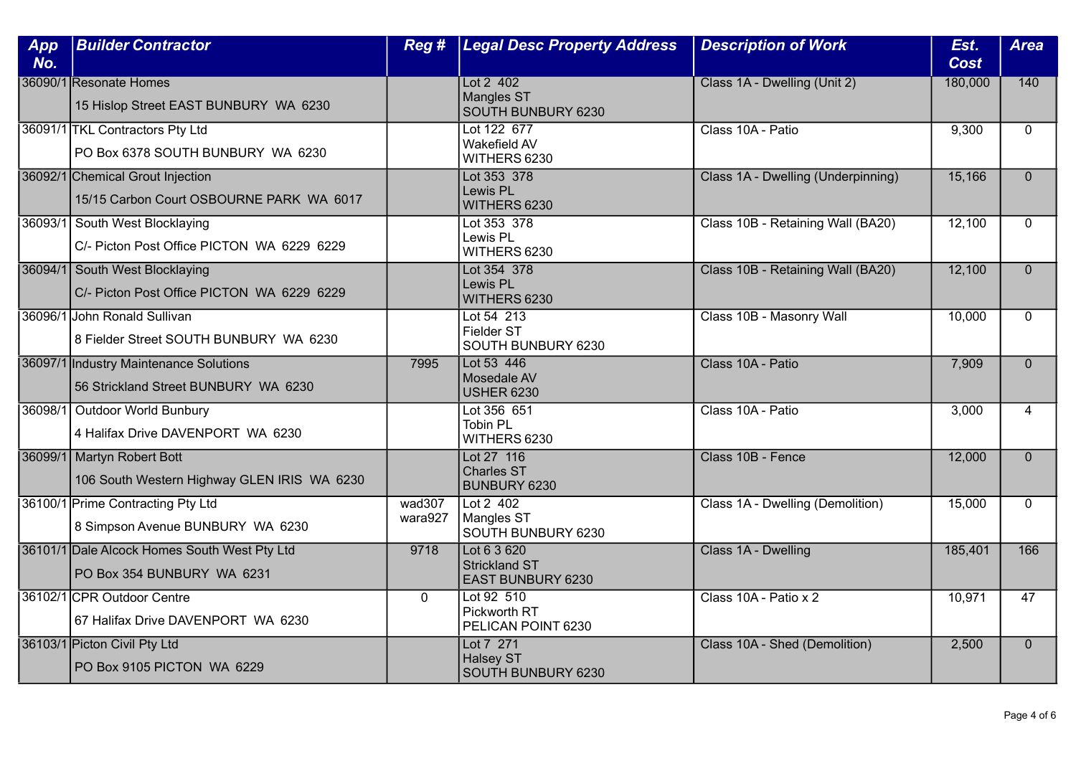| App<br>No. | <b>Builder Contractor</b>                                                      | Reg #             | <b>Legal Desc Property Address</b>                         | <b>Description of Work</b>         | Est.<br><b>Cost</b> | <b>Area</b>    |
|------------|--------------------------------------------------------------------------------|-------------------|------------------------------------------------------------|------------------------------------|---------------------|----------------|
|            | 36090/1 Resonate Homes<br>15 Hislop Street EAST BUNBURY WA 6230                |                   | Lot 2 402<br><b>Mangles ST</b><br>SOUTH BUNBURY 6230       | Class 1A - Dwelling (Unit 2)       | 180,000             | 140            |
|            | 36091/1 TKL Contractors Pty Ltd<br>PO Box 6378 SOUTH BUNBURY WA 6230           |                   | Lot 122 677<br>Wakefield AV<br>WITHERS 6230                | Class 10A - Patio                  | 9,300               | $\Omega$       |
|            | 36092/1 Chemical Grout Injection<br>15/15 Carbon Court OSBOURNE PARK WA 6017   |                   | Lot 353 378<br>Lewis PL<br>WITHERS 6230                    | Class 1A - Dwelling (Underpinning) | 15,166              | $\Omega$       |
|            | 36093/1 South West Blocklaying<br>C/- Picton Post Office PICTON WA 6229 6229   |                   | Lot 353 378<br>Lewis PL<br>WITHERS 6230                    | Class 10B - Retaining Wall (BA20)  | 12,100              | $\Omega$       |
|            | 36094/1 South West Blocklaying<br>C/- Picton Post Office PICTON WA 6229 6229   |                   | Lot 354 378<br>Lewis PL<br>WITHERS 6230                    | Class 10B - Retaining Wall (BA20)  | 12,100              | $\mathbf{0}$   |
|            | 36096/1 John Ronald Sullivan<br>8 Fielder Street SOUTH BUNBURY WA 6230         |                   | Lot 54 213<br>Fielder ST<br>SOUTH BUNBURY 6230             | Class 10B - Masonry Wall           | 10,000              | $\Omega$       |
|            | 36097/1 Industry Maintenance Solutions<br>56 Strickland Street BUNBURY WA 6230 | 7995              | Lot 53 446<br>Mosedale AV<br><b>USHER 6230</b>             | Class 10A - Patio                  | 7,909               | $\overline{0}$ |
|            | 36098/1 Outdoor World Bunbury<br>4 Halifax Drive DAVENPORT WA 6230             |                   | Lot 356 651<br><b>Tobin PL</b><br>WITHERS 6230             | Class 10A - Patio                  | 3,000               | 4              |
|            | 36099/1 Martyn Robert Bott<br>106 South Western Highway GLEN IRIS WA 6230      |                   | Lot 27 116<br><b>Charles ST</b><br>BUNBURY 6230            | Class 10B - Fence                  | 12,000              | $\Omega$       |
|            | 36100/1 Prime Contracting Pty Ltd<br>8 Simpson Avenue BUNBURY WA 6230          | wad307<br>wara927 | Lot 2 402<br>Mangles ST<br>SOUTH BUNBURY 6230              | Class 1A - Dwelling (Demolition)   | 15,000              | $\Omega$       |
|            | 36101/1 Dale Alcock Homes South West Pty Ltd<br>PO Box 354 BUNBURY WA 6231     | 9718              | Lot 6 3 620<br><b>Strickland ST</b><br>EAST BUNBURY 6230   | Class 1A - Dwelling                | 185,401             | 166            |
|            | 36102/1 CPR Outdoor Centre<br>67 Halifax Drive DAVENPORT WA 6230               | $\Omega$          | Lot 92 510<br>Pickworth RT<br>PELICAN POINT 6230           | Class 10A - Patio x 2              | 10,971              | 47             |
|            | 36103/1 Picton Civil Pty Ltd<br>PO Box 9105 PICTON WA 6229                     |                   | Lot 7 271<br><b>Halsey ST</b><br><b>SOUTH BUNBURY 6230</b> | Class 10A - Shed (Demolition)      | 2,500               | $\mathbf{0}$   |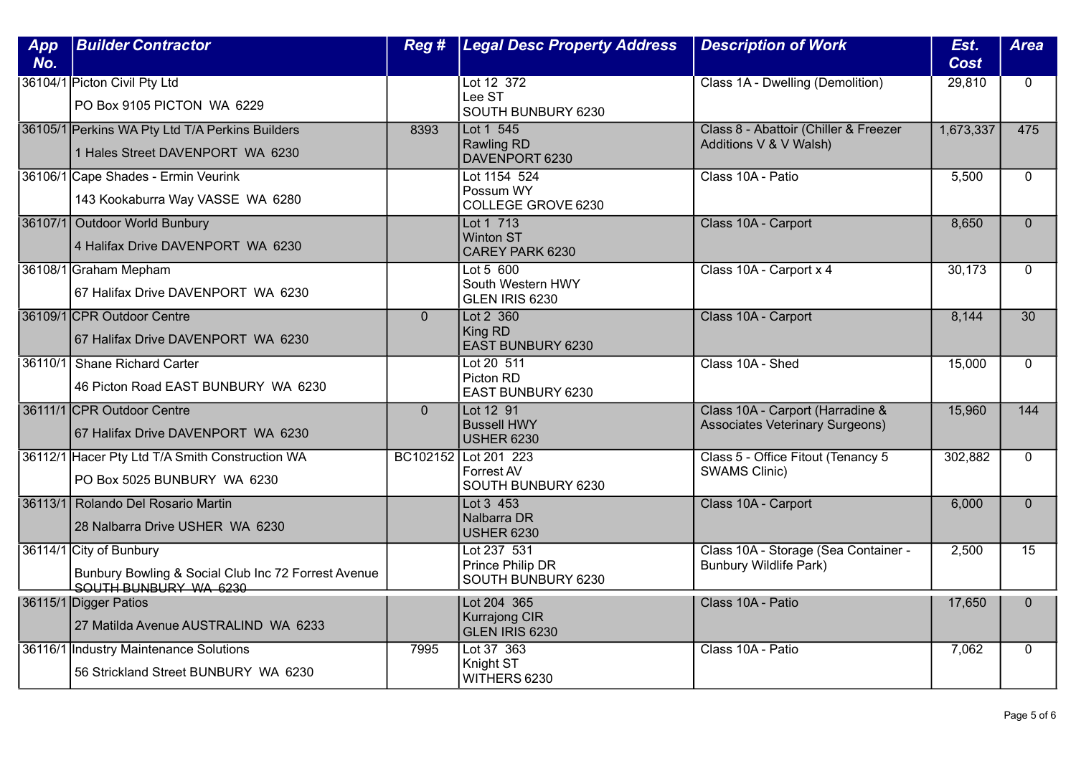| App<br>No. | <b>Builder Contractor</b>                                                                               | Reg #        | <b>Legal Desc Property Address</b>                       | <b>Description of Work</b>                                                 | Est.<br><b>Cost</b> | <b>Area</b>     |
|------------|---------------------------------------------------------------------------------------------------------|--------------|----------------------------------------------------------|----------------------------------------------------------------------------|---------------------|-----------------|
|            | 36104/1 Picton Civil Pty Ltd<br>PO Box 9105 PICTON WA 6229                                              |              | Lot 12 372<br>Lee ST<br>SOUTH BUNBURY 6230               | Class 1A - Dwelling (Demolition)                                           | 29,810              | $\overline{0}$  |
|            | 36105/1 Perkins WA Pty Ltd T/A Perkins Builders<br>1 Hales Street DAVENPORT WA 6230                     | 8393         | Lot 1 545<br><b>Rawling RD</b><br>DAVENPORT 6230         | Class 8 - Abattoir (Chiller & Freezer<br>Additions V & V Walsh)            | 1,673,337           | 475             |
|            | 36106/1 Cape Shades - Ermin Veurink<br>143 Kookaburra Way VASSE WA 6280                                 |              | Lot 1154 524<br>Possum WY<br>COLLEGE GROVE 6230          | Class 10A - Patio                                                          | 5,500               | $\mathbf{0}$    |
|            | 36107/1 Outdoor World Bunbury<br>4 Halifax Drive DAVENPORT WA 6230                                      |              | Lot 1 713<br><b>Winton ST</b><br>CAREY PARK 6230         | Class 10A - Carport                                                        | 8,650               | $\overline{0}$  |
|            | 36108/1 Graham Mepham<br>67 Halifax Drive DAVENPORT WA 6230                                             |              | Lot 5 600<br>South Western HWY<br>GLEN IRIS 6230         | Class 10A - Carport x 4                                                    | 30,173              | $\Omega$        |
|            | 36109/1 CPR Outdoor Centre<br>67 Halifax Drive DAVENPORT WA 6230                                        | $\mathbf{0}$ | Lot 2 360<br>King RD<br>EAST BUNBURY 6230                | Class 10A - Carport                                                        | 8,144               | $\overline{30}$ |
|            | 36110/1 Shane Richard Carter<br>46 Picton Road EAST BUNBURY WA 6230                                     |              | Lot 20 511<br>Picton RD<br>EAST BUNBURY 6230             | Class 10A - Shed                                                           | 15,000              | $\mathbf{0}$    |
|            | 36111/1 CPR Outdoor Centre<br>67 Halifax Drive DAVENPORT WA 6230                                        | $\Omega$     | Lot 12 91<br><b>Bussell HWY</b><br><b>USHER 6230</b>     | Class 10A - Carport (Harradine &<br><b>Associates Veterinary Surgeons)</b> | 15,960              | 144             |
|            | 36112/1 Hacer Pty Ltd T/A Smith Construction WA<br>PO Box 5025 BUNBURY WA 6230                          |              | BC102152 Lot 201 223<br>Forrest AV<br>SOUTH BUNBURY 6230 | Class 5 - Office Fitout (Tenancy 5<br><b>SWAMS Clinic)</b>                 | 302,882             | $\Omega$        |
|            | 36113/1 Rolando Del Rosario Martin<br>28 Nalbarra Drive USHER WA 6230                                   |              | Lot 3 453<br>Nalbarra DR<br><b>USHER 6230</b>            | Class 10A - Carport                                                        | 6,000               | $\overline{0}$  |
|            | 36114/1 City of Bunbury<br>Bunbury Bowling & Social Club Inc 72 Forrest Avenue<br>SOUTH BUNBURY WA 6230 |              | Lot 237 531<br>Prince Philip DR<br>SOUTH BUNBURY 6230    | Class 10A - Storage (Sea Container -<br><b>Bunbury Wildlife Park)</b>      | 2,500               | $\overline{15}$ |
|            | 36115/1 Digger Patios<br>27 Matilda Avenue AUSTRALIND WA 6233                                           |              | Lot 204 365<br><b>Kurrajong CIR</b><br>GLEN IRIS 6230    | Class 10A - Patio                                                          | 17,650              | $\Omega$        |
|            | 36116/1 Industry Maintenance Solutions<br>56 Strickland Street BUNBURY WA 6230                          | 7995         | Lot 37 363<br>Knight ST<br>WITHERS 6230                  | Class 10A - Patio                                                          | 7,062               | $\mathbf 0$     |